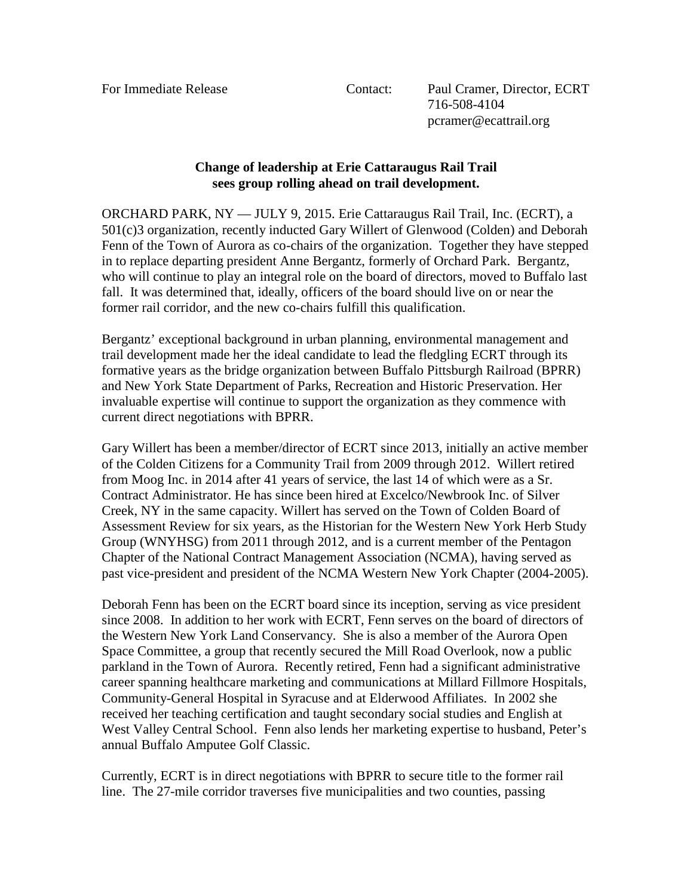For Immediate Release Contact: Paul Cramer, Director, ECRT 716-508-4104 pcramer@ecattrail.org

## **Change of leadership at Erie Cattaraugus Rail Trail sees group rolling ahead on trail development.**

ORCHARD PARK, NY — JULY 9, 2015.Erie Cattaraugus Rail Trail, Inc. (ECRT), a 501(c)3 organization, recently inducted Gary Willert of Glenwood (Colden) and Deborah Fenn of the Town of Aurora as co-chairs of the organization. Together they have stepped in to replace departing president Anne Bergantz, formerly of Orchard Park. Bergantz, who will continue to play an integral role on the board of directors, moved to Buffalo last fall. It was determined that, ideally, officers of the board should live on or near the former rail corridor, and the new co-chairs fulfill this qualification.

Bergantz' exceptional background in urban planning, environmental management and trail development made her the ideal candidate to lead the fledgling ECRT through its formative years as the bridge organization between Buffalo Pittsburgh Railroad (BPRR) and New York State Department of Parks, Recreation and Historic Preservation. Her invaluable expertise will continue to support the organization as they commence with current direct negotiations with BPRR.

Gary Willert has been a member/director of ECRT since 2013, initially an active member of the Colden Citizens for a Community Trail from 2009 through 2012. Willert retired from Moog Inc. in 2014 after 41 years of service, the last 14 of which were as a Sr. Contract Administrator. He has since been hired at Excelco/Newbrook Inc. of Silver Creek, NY in the same capacity. Willert has served on the Town of Colden Board of Assessment Review for six years, as the Historian for the Western New York Herb Study Group (WNYHSG) from 2011 through 2012, and is a current member of the Pentagon Chapter of the National Contract Management Association (NCMA), having served as past vice-president and president of the NCMA Western New York Chapter (2004-2005).

Deborah Fenn has been on the ECRT board since its inception, serving as vice president since 2008. In addition to her work with ECRT, Fenn serves on the board of directors of the Western New York Land Conservancy. She is also a member of the Aurora Open Space Committee, a group that recently secured the Mill Road Overlook, now a public parkland in the Town of Aurora. Recently retired, Fenn had a significant administrative career spanning healthcare marketing and communications at Millard Fillmore Hospitals, Community-General Hospital in Syracuse and at Elderwood Affiliates. In 2002 she received her teaching certification and taught secondary social studies and English at West Valley Central School. Fenn also lends her marketing expertise to husband, Peter's annual Buffalo Amputee Golf Classic.

Currently, ECRT is in direct negotiations with BPRR to secure title to the former rail line. The 27-mile corridor traverses five municipalities and two counties, passing